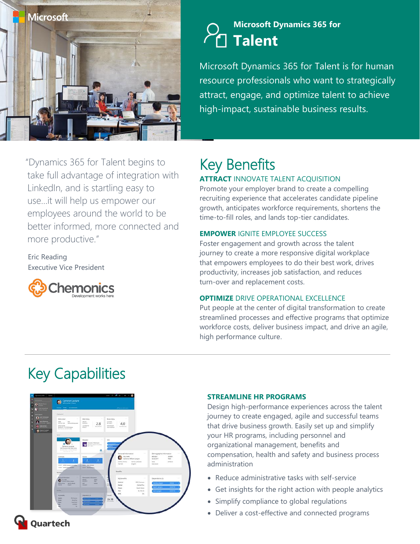

"Dynamics 365 for Talent begins to

LinkedIn, and is startling easy to use…it will help us empower our

**nemonics** 

more productive."

Executive Vice President

Eric Reading

employees around the world to be

better informed, more connected and

take full advantage of integration with

### **Microsoft Dynamics 365 for Talent**

Microsoft Dynamics 365 for Talent is for human resource professionals who want to strategically attract, engage, and optimize talent to achieve high-impact, sustainable business results.

### Key Benefits **ATTRACT** INNOVATE TALENT ACOUISITION

Promote your employer brand to create a compelling recruiting experience that accelerates candidate pipeline growth, anticipates workforce requirements, shortens the time-to-fill roles, and lands top-tier candidates.

### **EMPOWER** IGNITE EMPLOYEE SUCCESS

Foster engagement and growth across the talent journey to create a more responsive digital workplace that empowers employees to do their best work, drives productivity, increases job satisfaction, and reduces turn-over and replacement costs.

### **OPTIMIZE** DRIVE OPERATIONAL EXCELLENCE

Put people at the center of digital transformation to create streamlined processes and effective programs that optimize workforce costs, deliver business impact, and drive an agile, high performance culture.

# Key Capabilities



#### **STREAMLINE HR PROGRAMS**

Design high-performance experiences across the talent journey to create engaged, agile and successful teams that drive business growth. Easily set up and simplify your HR programs, including personnel and organizational management, benefits and compensation, health and safety and business process administration

- Reduce administrative tasks with self-service
- Get insights for the right action with people analytics
- Simplify compliance to global regulations
- Deliver a cost-effective and connected programs



Quartech